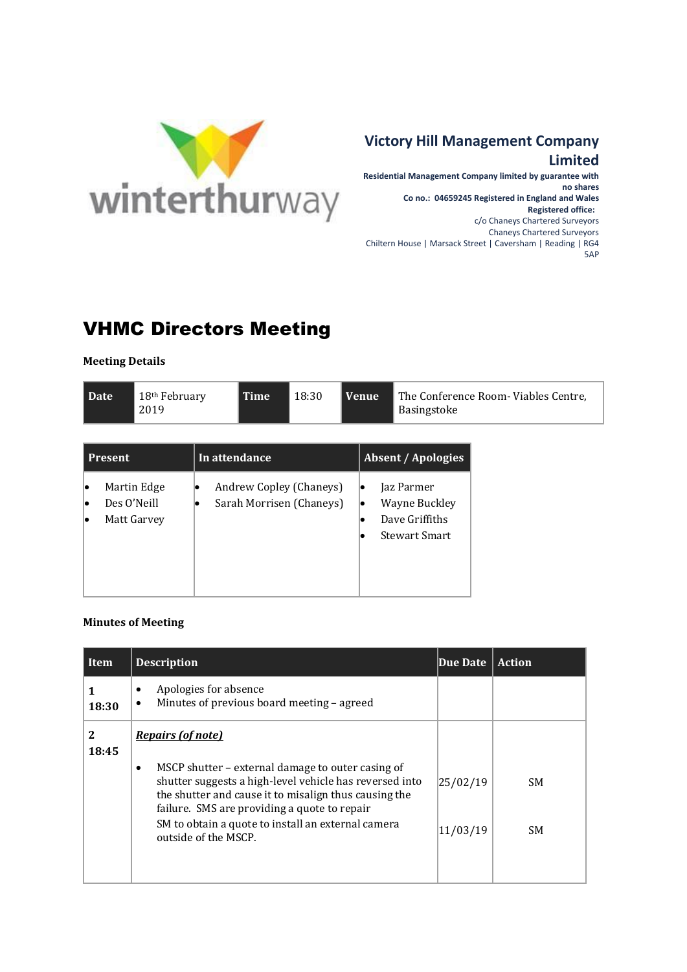

## **Victory Hill Management Company Limited**

**Residential Management Company limited by guarantee with no shares Co no.: 04659245 Registered in England and Wales Registered office:**  c/o Chaneys Chartered Surveyors Chaneys Chartered Surveyors Chiltern House | Marsack Street | Caversham | Reading | RG4 5AP

## VHMC Directors Meeting

**Meeting Details**

|--|

| <b>Present</b> |                                           | In attendance                                       | <b>Absent / Apologies</b>                                                         |  |
|----------------|-------------------------------------------|-----------------------------------------------------|-----------------------------------------------------------------------------------|--|
|                | Martin Edge<br>Des O'Neill<br>Matt Garvey | Andrew Copley (Chaneys)<br>Sarah Morrisen (Chaneys) | Jaz Parmer<br>lo<br>Wayne Buckley<br>lo<br>Dave Griffiths<br><b>Stewart Smart</b> |  |

## **Minutes of Meeting**

| Item       | <b>Description</b>                                                                                                                                                                                                                 | Due Date | <b>Action</b> |
|------------|------------------------------------------------------------------------------------------------------------------------------------------------------------------------------------------------------------------------------------|----------|---------------|
| 18:30      | Apologies for absence<br>٠<br>Minutes of previous board meeting - agreed<br>$\bullet$                                                                                                                                              |          |               |
| 2<br>18:45 | <b>Repairs (of note)</b>                                                                                                                                                                                                           |          |               |
|            | MSCP shutter – external damage to outer casing of<br>$\bullet$<br>shutter suggests a high-level vehicle has reversed into<br>the shutter and cause it to misalign thus causing the<br>failure. SMS are providing a quote to repair | 25/02/19 | SM.           |
|            | SM to obtain a quote to install an external camera<br>outside of the MSCP.                                                                                                                                                         | 11/03/19 | SM.           |
|            |                                                                                                                                                                                                                                    |          |               |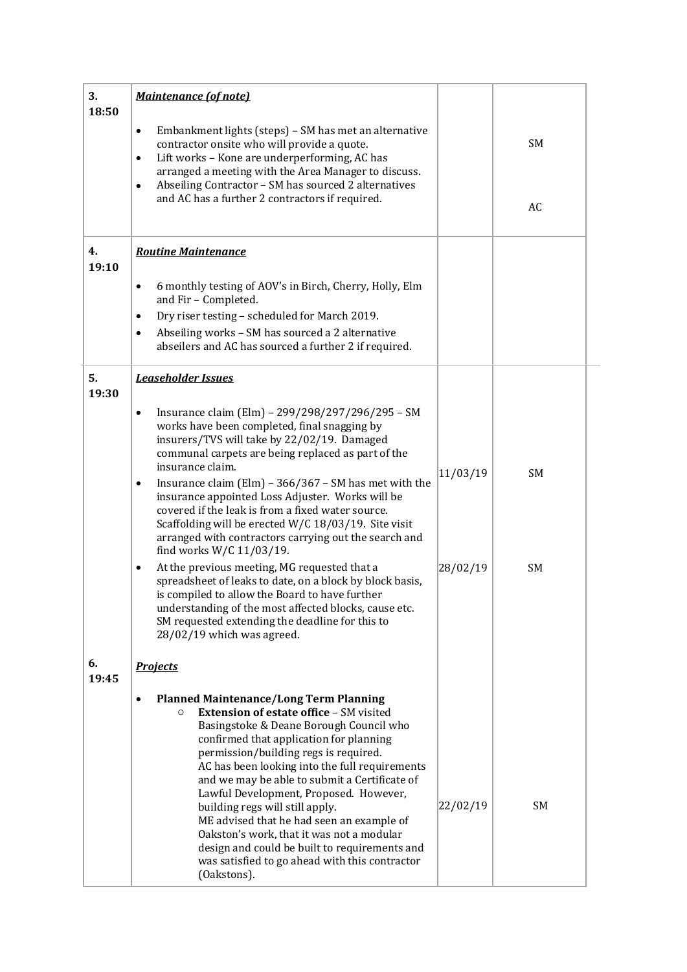| 3.<br>18:50 | <b>Maintenance (of note)</b>                                                                                                                                                                                                                                                                                                                                                                                                                                                                                                                                                                                                          |          |           |
|-------------|---------------------------------------------------------------------------------------------------------------------------------------------------------------------------------------------------------------------------------------------------------------------------------------------------------------------------------------------------------------------------------------------------------------------------------------------------------------------------------------------------------------------------------------------------------------------------------------------------------------------------------------|----------|-----------|
|             | Embankment lights (steps) - SM has met an alternative<br>$\bullet$<br>contractor onsite who will provide a quote.<br>Lift works - Kone are underperforming, AC has<br>$\bullet$<br>arranged a meeting with the Area Manager to discuss.<br>Abseiling Contractor - SM has sourced 2 alternatives<br>$\bullet$                                                                                                                                                                                                                                                                                                                          |          | SM        |
|             | and AC has a further 2 contractors if required.                                                                                                                                                                                                                                                                                                                                                                                                                                                                                                                                                                                       |          | AC        |
| 4.<br>19:10 | <b>Routine Maintenance</b>                                                                                                                                                                                                                                                                                                                                                                                                                                                                                                                                                                                                            |          |           |
|             | 6 monthly testing of AOV's in Birch, Cherry, Holly, Elm<br>$\bullet$<br>and Fir - Completed.                                                                                                                                                                                                                                                                                                                                                                                                                                                                                                                                          |          |           |
|             | Dry riser testing - scheduled for March 2019.<br>$\bullet$                                                                                                                                                                                                                                                                                                                                                                                                                                                                                                                                                                            |          |           |
|             | Abseiling works - SM has sourced a 2 alternative<br>$\bullet$<br>abseilers and AC has sourced a further 2 if required.                                                                                                                                                                                                                                                                                                                                                                                                                                                                                                                |          |           |
| 5.<br>19:30 | <b>Leaseholder Issues</b>                                                                                                                                                                                                                                                                                                                                                                                                                                                                                                                                                                                                             |          |           |
|             | Insurance claim (Elm) - 299/298/297/296/295 - SM<br>$\bullet$<br>works have been completed, final snagging by<br>insurers/TVS will take by 22/02/19. Damaged<br>communal carpets are being replaced as part of the<br>insurance claim.<br>Insurance claim (Elm) - 366/367 - SM has met with the<br>$\bullet$<br>insurance appointed Loss Adjuster. Works will be<br>covered if the leak is from a fixed water source.<br>Scaffolding will be erected W/C 18/03/19. Site visit<br>arranged with contractors carrying out the search and<br>find works W/C 11/03/19.                                                                    | 11/03/19 | <b>SM</b> |
|             | At the previous meeting, MG requested that a<br>$\bullet$<br>spreadsheet of leaks to date, on a block by block basis,<br>is compiled to allow the Board to have further<br>understanding of the most affected blocks, cause etc.<br>SM requested extending the deadline for this to<br>28/02/19 which was agreed.                                                                                                                                                                                                                                                                                                                     | 28/02/19 | SM        |
| 6.<br>19:45 | <b>Projects</b>                                                                                                                                                                                                                                                                                                                                                                                                                                                                                                                                                                                                                       |          |           |
|             | <b>Planned Maintenance/Long Term Planning</b><br><b>Extension of estate office - SM visited</b><br>$\circ$<br>Basingstoke & Deane Borough Council who<br>confirmed that application for planning<br>permission/building regs is required.<br>AC has been looking into the full requirements<br>and we may be able to submit a Certificate of<br>Lawful Development, Proposed. However,<br>building regs will still apply.<br>ME advised that he had seen an example of<br>Oakston's work, that it was not a modular<br>design and could be built to requirements and<br>was satisfied to go ahead with this contractor<br>(Oakstons). | 22/02/19 | SM        |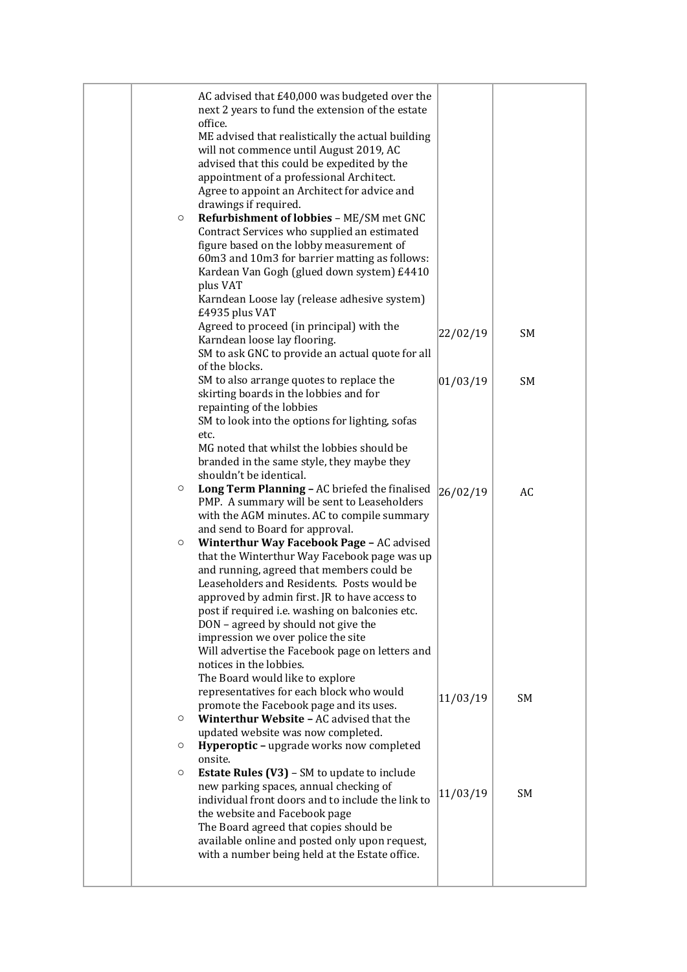| AC advised that £40,000 was budgeted over the<br>next 2 years to fund the extension of the estate<br>office.<br>ME advised that realistically the actual building<br>will not commence until August 2019, AC<br>advised that this could be expedited by the<br>appointment of a professional Architect.<br>Agree to appoint an Architect for advice and<br>drawings if required.<br>Refurbishment of lobbies - ME/SM met GNC<br>$\circ$<br>Contract Services who supplied an estimated<br>figure based on the lobby measurement of<br>60m3 and 10m3 for barrier matting as follows:<br>Kardean Van Gogh (glued down system) £4410<br>plus VAT<br>Karndean Loose lay (release adhesive system)<br>£4935 plus VAT<br>Agreed to proceed (in principal) with the<br>Karndean loose lay flooring.<br>SM to ask GNC to provide an actual quote for all | 22/02/19 | SM        |
|--------------------------------------------------------------------------------------------------------------------------------------------------------------------------------------------------------------------------------------------------------------------------------------------------------------------------------------------------------------------------------------------------------------------------------------------------------------------------------------------------------------------------------------------------------------------------------------------------------------------------------------------------------------------------------------------------------------------------------------------------------------------------------------------------------------------------------------------------|----------|-----------|
| of the blocks.<br>SM to also arrange quotes to replace the<br>skirting boards in the lobbies and for<br>repainting of the lobbies<br>SM to look into the options for lighting, sofas<br>etc.<br>MG noted that whilst the lobbies should be<br>branded in the same style, they maybe they                                                                                                                                                                                                                                                                                                                                                                                                                                                                                                                                                         | 01/03/19 | <b>SM</b> |
| shouldn't be identical.<br>Long Term Planning - AC briefed the finalised<br>$\circ$<br>PMP. A summary will be sent to Leaseholders<br>with the AGM minutes. AC to compile summary<br>and send to Board for approval.<br>Winterthur Way Facebook Page - AC advised<br>$\circ$<br>that the Winterthur Way Facebook page was up<br>and running, agreed that members could be<br>Leaseholders and Residents. Posts would be<br>approved by admin first. JR to have access to<br>post if required i.e. washing on balconies etc.<br>DON - agreed by should not give the<br>impression we over police the site<br>Will advertise the Facebook page on letters and<br>notices in the lobbies.                                                                                                                                                           | 26/02/19 | AC        |
| The Board would like to explore<br>representatives for each block who would<br>promote the Facebook page and its uses.<br>Winterthur Website - AC advised that the<br>$\circ$<br>updated website was now completed.<br>Hyperoptic - upgrade works now completed<br>$\circ$<br>onsite.<br><b>Estate Rules (V3)</b> - SM to update to include<br>$\circ$                                                                                                                                                                                                                                                                                                                                                                                                                                                                                           | 11/03/19 | SM        |
| new parking spaces, annual checking of<br>individual front doors and to include the link to<br>the website and Facebook page<br>The Board agreed that copies should be<br>available online and posted only upon request,<br>with a number being held at the Estate office.                                                                                                                                                                                                                                                                                                                                                                                                                                                                                                                                                                       | 11/03/19 | SM        |